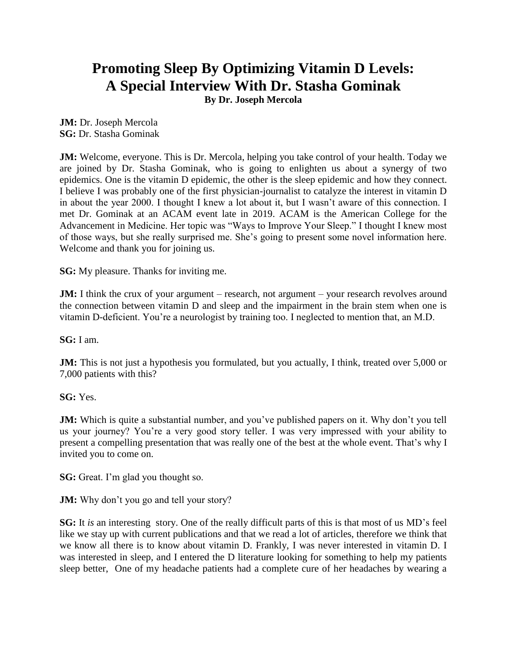# **Promoting Sleep By Optimizing Vitamin D Levels: A Special Interview With Dr. Stasha Gominak**

**By Dr. Joseph Mercola**

**JM:** Dr. Joseph Mercola **SG:** Dr. Stasha Gominak

**JM:** Welcome, everyone. This is Dr. Mercola, helping you take control of your health. Today we are joined by Dr. Stasha Gominak, who is going to enlighten us about a synergy of two epidemics. One is the vitamin D epidemic, the other is the sleep epidemic and how they connect. I believe I was probably one of the first physician-journalist to catalyze the interest in vitamin D in about the year 2000. I thought I knew a lot about it, but I wasn't aware of this connection. I met Dr. Gominak at an ACAM event late in 2019. ACAM is the American College for the Advancement in Medicine. Her topic was "Ways to Improve Your Sleep." I thought I knew most of those ways, but she really surprised me. She's going to present some novel information here. Welcome and thank you for joining us.

**SG:** My pleasure. Thanks for inviting me.

**JM:** I think the crux of your argument – research, not argument – your research revolves around the connection between vitamin D and sleep and the impairment in the brain stem when one is vitamin D-deficient. You're a neurologist by training too. I neglected to mention that, an M.D.

**SG:** I am.

**JM:** This is not just a hypothesis you formulated, but you actually, I think, treated over 5,000 or 7,000 patients with this?

**SG:** Yes.

**JM:** Which is quite a substantial number, and you've published papers on it. Why don't you tell us your journey? You're a very good story teller. I was very impressed with your ability to present a compelling presentation that was really one of the best at the whole event. That's why I invited you to come on.

**SG:** Great. I'm glad you thought so.

**JM:** Why don't you go and tell your story?

**SG:** It *is* an interesting story. One of the really difficult parts of this is that most of us MD's feel like we stay up with current publications and that we read a lot of articles, therefore we think that we know all there is to know about vitamin D. Frankly, I was never interested in vitamin D. I was interested in sleep, and I entered the D literature looking for something to help my patients sleep better, One of my headache patients had a complete cure of her headaches by wearing a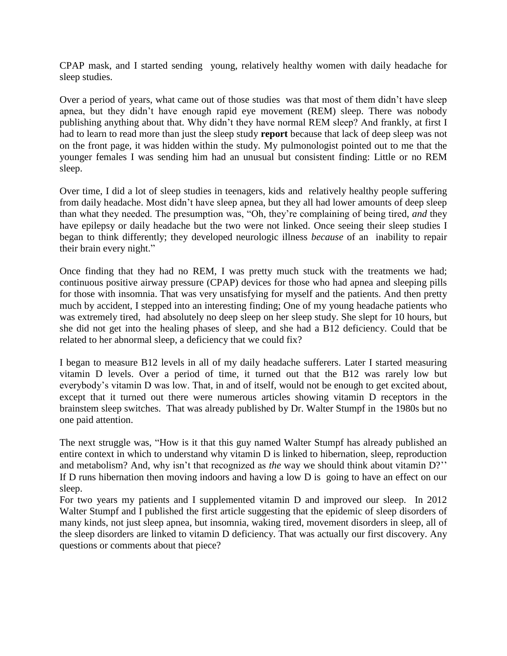CPAP mask, and I started sending young, relatively healthy women with daily headache for sleep studies.

Over a period of years, what came out of those studies was that most of them didn't have sleep apnea, but they didn't have enough rapid eye movement (REM) sleep. There was nobody publishing anything about that. Why didn't they have normal REM sleep? And frankly, at first I had to learn to read more than just the sleep study **report** because that lack of deep sleep was not on the front page, it was hidden within the study. My pulmonologist pointed out to me that the younger females I was sending him had an unusual but consistent finding: Little or no REM sleep.

Over time, I did a lot of sleep studies in teenagers, kids and relatively healthy people suffering from daily headache. Most didn't have sleep apnea, but they all had lower amounts of deep sleep than what they needed. The presumption was, "Oh, they're complaining of being tired, *and* they have epilepsy or daily headache but the two were not linked. Once seeing their sleep studies I began to think differently; they developed neurologic illness *because* of an inability to repair their brain every night."

Once finding that they had no REM, I was pretty much stuck with the treatments we had; continuous positive airway pressure (CPAP) devices for those who had apnea and sleeping pills for those with insomnia. That was very unsatisfying for myself and the patients. And then pretty much by accident, I stepped into an interesting finding; One of my young headache patients who was extremely tired, had absolutely no deep sleep on her sleep study. She slept for 10 hours, but she did not get into the healing phases of sleep, and she had a B12 deficiency. Could that be related to her abnormal sleep, a deficiency that we could fix?

I began to measure B12 levels in all of my daily headache sufferers. Later I started measuring vitamin D levels. Over a period of time, it turned out that the B12 was rarely low but everybody's vitamin D was low. That, in and of itself, would not be enough to get excited about, except that it turned out there were numerous articles showing vitamin D receptors in the brainstem sleep switches. That was already published by Dr. Walter Stumpf in the 1980s but no one paid attention.

The next struggle was, "How is it that this guy named Walter Stumpf has already published an entire context in which to understand why vitamin D is linked to hibernation, sleep, reproduction and metabolism? And, why isn't that recognized as *the* way we should think about vitamin D?'' If D runs hibernation then moving indoors and having a low D is going to have an effect on our sleep.

For two years my patients and I supplemented vitamin D and improved our sleep. In 2012 Walter Stumpf and I published the first article suggesting that the epidemic of sleep disorders of many kinds, not just sleep apnea, but insomnia, waking tired, movement disorders in sleep, all of the sleep disorders are linked to vitamin D deficiency. That was actually our first discovery. Any questions or comments about that piece?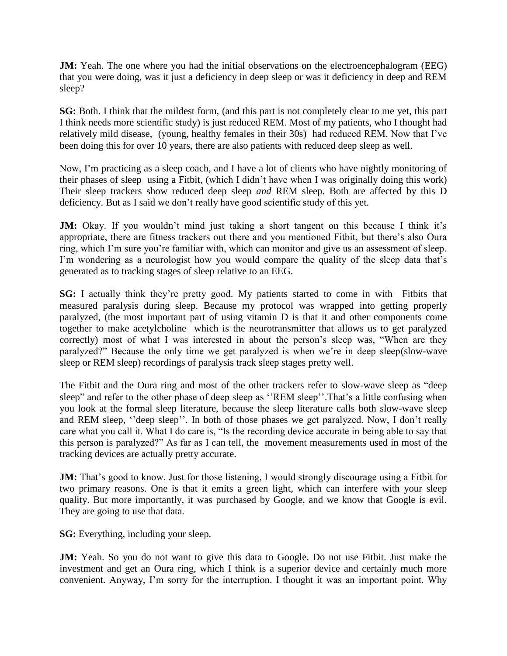**JM:** Yeah. The one where you had the initial observations on the electroencephalogram (EEG) that you were doing, was it just a deficiency in deep sleep or was it deficiency in deep and REM sleep?

**SG:** Both. I think that the mildest form, (and this part is not completely clear to me yet, this part I think needs more scientific study) is just reduced REM. Most of my patients, who I thought had relatively mild disease, (young, healthy females in their 30s) had reduced REM. Now that I've been doing this for over 10 years, there are also patients with reduced deep sleep as well.

Now, I'm practicing as a sleep coach, and I have a lot of clients who have nightly monitoring of their phases of sleep using a Fitbit, (which I didn't have when I was originally doing this work) Their sleep trackers show reduced deep sleep *and* REM sleep. Both are affected by this D deficiency. But as I said we don't really have good scientific study of this yet.

**JM:** Okay. If you wouldn't mind just taking a short tangent on this because I think it's appropriate, there are fitness trackers out there and you mentioned Fitbit, but there's also Oura ring, which I'm sure you're familiar with, which can monitor and give us an assessment of sleep. I'm wondering as a neurologist how you would compare the quality of the sleep data that's generated as to tracking stages of sleep relative to an EEG.

**SG:** I actually think they're pretty good. My patients started to come in with Fitbits that measured paralysis during sleep. Because my protocol was wrapped into getting properly paralyzed, (the most important part of using vitamin D is that it and other components come together to make acetylcholine which is the neurotransmitter that allows us to get paralyzed correctly) most of what I was interested in about the person's sleep was, "When are they paralyzed?" Because the only time we get paralyzed is when we're in deep sleep(slow-wave sleep or REM sleep) recordings of paralysis track sleep stages pretty well.

The Fitbit and the Oura ring and most of the other trackers refer to slow-wave sleep as "deep sleep" and refer to the other phase of deep sleep as "REM sleep". That's a little confusing when you look at the formal sleep literature, because the sleep literature calls both slow-wave sleep and REM sleep, "deep sleep". In both of those phases we get paralyzed. Now, I don't really care what you call it. What I do care is, "Is the recording device accurate in being able to say that this person is paralyzed?" As far as I can tell, the movement measurements used in most of the tracking devices are actually pretty accurate.

**JM:** That's good to know. Just for those listening, I would strongly discourage using a Fitbit for two primary reasons. One is that it emits a green light, which can interfere with your sleep quality. But more importantly, it was purchased by Google, and we know that Google is evil. They are going to use that data.

**SG:** Everything, including your sleep.

**JM:** Yeah. So you do not want to give this data to Google. Do not use Fitbit. Just make the investment and get an Oura ring, which I think is a superior device and certainly much more convenient. Anyway, I'm sorry for the interruption. I thought it was an important point. Why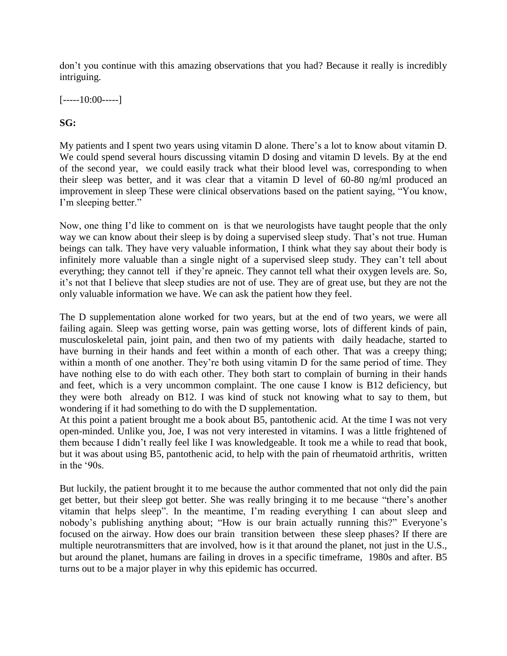don't you continue with this amazing observations that you had? Because it really is incredibly intriguing.

 $[----10:00---]$ 

## **SG:**

My patients and I spent two years using vitamin D alone. There's a lot to know about vitamin D. We could spend several hours discussing vitamin D dosing and vitamin D levels. By at the end of the second year, we could easily track what their blood level was, corresponding to when their sleep was better, and it was clear that a vitamin D level of 60-80 ng/ml produced an improvement in sleep These were clinical observations based on the patient saying, "You know, I'm sleeping better."

Now, one thing I'd like to comment on is that we neurologists have taught people that the only way we can know about their sleep is by doing a supervised sleep study. That's not true. Human beings can talk. They have very valuable information, I think what they say about their body is infinitely more valuable than a single night of a supervised sleep study. They can't tell about everything; they cannot tell if they're apneic. They cannot tell what their oxygen levels are. So, it's not that I believe that sleep studies are not of use. They are of great use, but they are not the only valuable information we have. We can ask the patient how they feel.

The D supplementation alone worked for two years, but at the end of two years, we were all failing again. Sleep was getting worse, pain was getting worse, lots of different kinds of pain, musculoskeletal pain, joint pain, and then two of my patients with daily headache, started to have burning in their hands and feet within a month of each other. That was a creepy thing; within a month of one another. They're both using vitamin D for the same period of time. They have nothing else to do with each other. They both start to complain of burning in their hands and feet, which is a very uncommon complaint. The one cause I know is B12 deficiency, but they were both already on B12. I was kind of stuck not knowing what to say to them, but wondering if it had something to do with the D supplementation.

At this point a patient brought me a book about B5, pantothenic acid. At the time I was not very open-minded. Unlike you, Joe, I was not very interested in vitamins. I was a little frightened of them because I didn't really feel like I was knowledgeable. It took me a while to read that book, but it was about using B5, pantothenic acid, to help with the pain of rheumatoid arthritis, written in the '90s.

But luckily, the patient brought it to me because the author commented that not only did the pain get better, but their sleep got better. She was really bringing it to me because "there's another vitamin that helps sleep". In the meantime, I'm reading everything I can about sleep and nobody's publishing anything about; "How is our brain actually running this?" Everyone's focused on the airway. How does our brain transition between these sleep phases? If there are multiple neurotransmitters that are involved, how is it that around the planet, not just in the U.S., but around the planet, humans are failing in droves in a specific timeframe, 1980s and after. B5 turns out to be a major player in why this epidemic has occurred.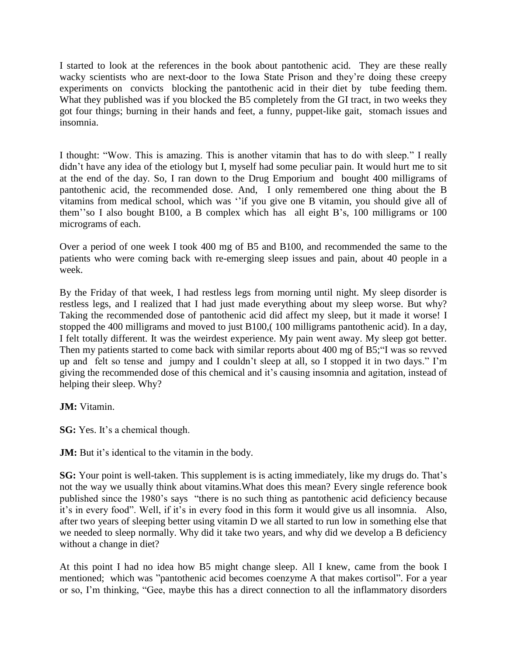I started to look at the references in the book about pantothenic acid. They are these really wacky scientists who are next-door to the Iowa State Prison and they're doing these creepy experiments on convicts blocking the pantothenic acid in their diet by tube feeding them. What they published was if you blocked the B5 completely from the GI tract, in two weeks they got four things; burning in their hands and feet, a funny, puppet-like gait, stomach issues and insomnia.

I thought: "Wow. This is amazing. This is another vitamin that has to do with sleep." I really didn't have any idea of the etiology but I, myself had some peculiar pain. It would hurt me to sit at the end of the day. So, I ran down to the Drug Emporium and bought 400 milligrams of pantothenic acid, the recommended dose. And, I only remembered one thing about the B vitamins from medical school, which was ''if you give one B vitamin, you should give all of them''so I also bought B100, a B complex which has all eight B's, 100 milligrams or 100 micrograms of each.

Over a period of one week I took 400 mg of B5 and B100, and recommended the same to the patients who were coming back with re-emerging sleep issues and pain, about 40 people in a week.

By the Friday of that week, I had restless legs from morning until night. My sleep disorder is restless legs, and I realized that I had just made everything about my sleep worse. But why? Taking the recommended dose of pantothenic acid did affect my sleep, but it made it worse! I stopped the 400 milligrams and moved to just B100,( 100 milligrams pantothenic acid). In a day, I felt totally different. It was the weirdest experience. My pain went away. My sleep got better. Then my patients started to come back with similar reports about 400 mg of B5;"I was so revved up and felt so tense and jumpy and I couldn't sleep at all, so I stopped it in two days." I'm giving the recommended dose of this chemical and it's causing insomnia and agitation, instead of helping their sleep. Why?

#### **JM:** Vitamin.

**SG:** Yes. It's a chemical though.

**JM:** But it's identical to the vitamin in the body.

**SG:** Your point is well-taken. This supplement is is acting immediately, like my drugs do. That's not the way we usually think about vitamins.What does this mean? Every single reference book published since the 1980's says "there is no such thing as pantothenic acid deficiency because it's in every food". Well, if it's in every food in this form it would give us all insomnia. Also, after two years of sleeping better using vitamin D we all started to run low in something else that we needed to sleep normally. Why did it take two years, and why did we develop a B deficiency without a change in diet?

At this point I had no idea how B5 might change sleep. All I knew, came from the book I mentioned; which was "pantothenic acid becomes coenzyme A that makes cortisol". For a year or so, I'm thinking, "Gee, maybe this has a direct connection to all the inflammatory disorders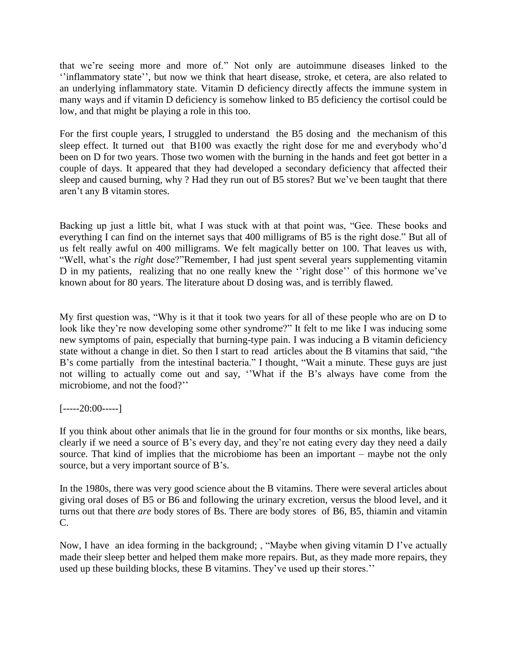that we're seeing more and more of." Not only are autoimmune diseases linked to the ''inflammatory state'', but now we think that heart disease, stroke, et cetera, are also related to an underlying inflammatory state. Vitamin D deficiency directly affects the immune system in many ways and if vitamin D deficiency is somehow linked to B5 deficiency the cortisol could be low, and that might be playing a role in this too.

For the first couple years, I struggled to understand the B5 dosing and the mechanism of this sleep effect. It turned out that B100 was exactly the right dose for me and everybody who'd been on D for two years. Those two women with the burning in the hands and feet got better in a couple of days. It appeared that they had developed a secondary deficiency that affected their sleep and caused burning, why ? Had they run out of B5 stores? But we've been taught that there aren't any B vitamin stores.

Backing up just a little bit, what I was stuck with at that point was, "Gee. These books and everything I can find on the internet says that 400 milligrams of B5 is the right dose." But all of us felt really awful on 400 milligrams. We felt magically better on 100. That leaves us with, "Well, what's the *right* dose?"Remember, I had just spent several years supplementing vitamin D in my patients, realizing that no one really knew the "right dose" of this hormone we've known about for 80 years. The literature about D dosing was, and is terribly flawed.

My first question was, "Why is it that it took two years for all of these people who are on D to look like they're now developing some other syndrome?" It felt to me like I was inducing some new symptoms of pain, especially that burning-type pain. I was inducing a B vitamin deficiency state without a change in diet. So then I start to read articles about the B vitamins that said, "the B's come partially from the intestinal bacteria." I thought, "Wait a minute. These guys are just not willing to actually come out and say, ''What if the B's always have come from the microbiome, and not the food?''

# $[---20:00---]$

If you think about other animals that lie in the ground for four months or six months, like bears, clearly if we need a source of B's every day, and they're not eating every day they need a daily source. That kind of implies that the microbiome has been an important – maybe not the only source, but a very important source of B's.

In the 1980s, there was very good science about the B vitamins. There were several articles about giving oral doses of B5 or B6 and following the urinary excretion, versus the blood level, and it turns out that there *are* body stores of Bs. There are body stores of B6, B5, thiamin and vitamin C.

Now, I have an idea forming in the background; , "Maybe when giving vitamin D I've actually made their sleep better and helped them make more repairs. But, as they made more repairs, they used up these building blocks, these B vitamins. They've used up their stores.''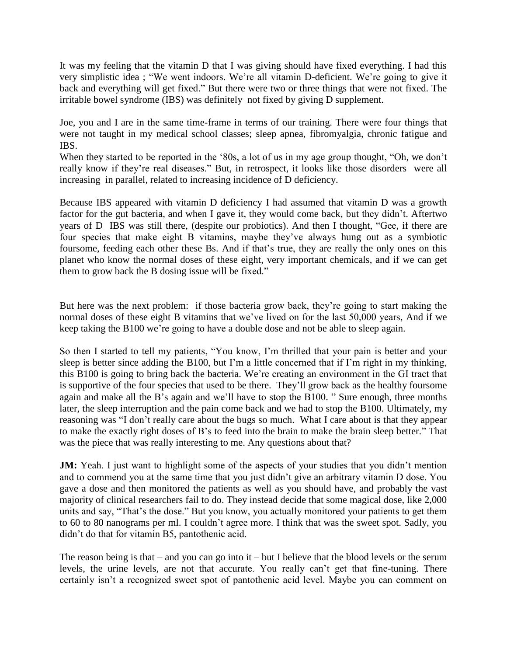It was my feeling that the vitamin D that I was giving should have fixed everything. I had this very simplistic idea ; "We went indoors. We're all vitamin D-deficient. We're going to give it back and everything will get fixed." But there were two or three things that were not fixed. The irritable bowel syndrome (IBS) was definitely not fixed by giving D supplement.

Joe, you and I are in the same time-frame in terms of our training. There were four things that were not taught in my medical school classes; sleep apnea, fibromyalgia, chronic fatigue and IBS.

When they started to be reported in the '80s, a lot of us in my age group thought, "Oh, we don't really know if they're real diseases." But, in retrospect, it looks like those disorders were all increasing in parallel, related to increasing incidence of D deficiency.

Because IBS appeared with vitamin D deficiency I had assumed that vitamin D was a growth factor for the gut bacteria, and when I gave it, they would come back, but they didn't. Aftertwo years of D IBS was still there, (despite our probiotics). And then I thought, "Gee, if there are four species that make eight B vitamins, maybe they've always hung out as a symbiotic foursome, feeding each other these Bs. And if that's true, they are really the only ones on this planet who know the normal doses of these eight, very important chemicals, and if we can get them to grow back the B dosing issue will be fixed."

But here was the next problem: if those bacteria grow back, they're going to start making the normal doses of these eight B vitamins that we've lived on for the last 50,000 years, And if we keep taking the B100 we're going to have a double dose and not be able to sleep again.

So then I started to tell my patients, "You know, I'm thrilled that your pain is better and your sleep is better since adding the B100, but I'm a little concerned that if I'm right in my thinking, this B100 is going to bring back the bacteria. We're creating an environment in the GI tract that is supportive of the four species that used to be there. They'll grow back as the healthy foursome again and make all the B's again and we'll have to stop the B100. " Sure enough, three months later, the sleep interruption and the pain come back and we had to stop the B100. Ultimately, my reasoning was "I don't really care about the bugs so much. What I care about is that they appear to make the exactly right doses of B's to feed into the brain to make the brain sleep better." That was the piece that was really interesting to me. Any questions about that?

**JM:** Yeah. I just want to highlight some of the aspects of your studies that you didn't mention and to commend you at the same time that you just didn't give an arbitrary vitamin D dose. You gave a dose and then monitored the patients as well as you should have, and probably the vast majority of clinical researchers fail to do. They instead decide that some magical dose, like 2,000 units and say, "That's the dose." But you know, you actually monitored your patients to get them to 60 to 80 nanograms per ml. I couldn't agree more. I think that was the sweet spot. Sadly, you didn't do that for vitamin B5, pantothenic acid.

The reason being is that – and you can go into it – but I believe that the blood levels or the serum levels, the urine levels, are not that accurate. You really can't get that fine-tuning. There certainly isn't a recognized sweet spot of pantothenic acid level. Maybe you can comment on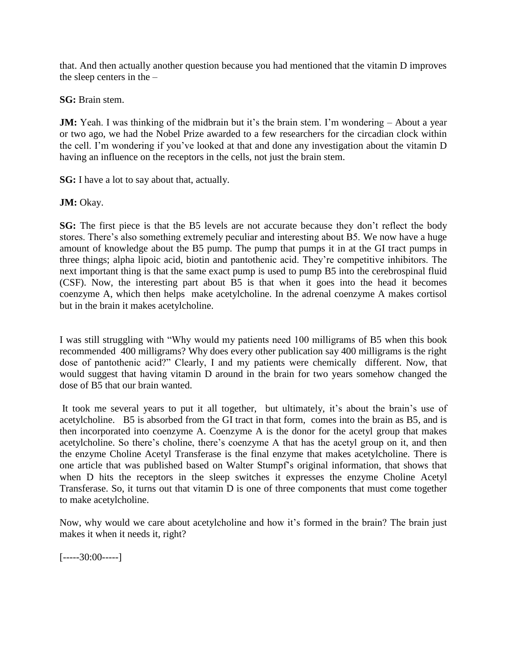that. And then actually another question because you had mentioned that the vitamin D improves the sleep centers in the –

**SG:** Brain stem.

**JM:** Yeah. I was thinking of the midbrain but it's the brain stem. I'm wondering – About a year or two ago, we had the Nobel Prize awarded to a few researchers for the circadian clock within the cell. I'm wondering if you've looked at that and done any investigation about the vitamin D having an influence on the receptors in the cells, not just the brain stem.

**SG:** I have a lot to say about that, actually.

**JM: Okay.** 

**SG:** The first piece is that the B5 levels are not accurate because they don't reflect the body stores. There's also something extremely peculiar and interesting about B5. We now have a huge amount of knowledge about the B5 pump. The pump that pumps it in at the GI tract pumps in three things; alpha lipoic acid, biotin and pantothenic acid. They're competitive inhibitors. The next important thing is that the same exact pump is used to pump B5 into the cerebrospinal fluid (CSF). Now, the interesting part about B5 is that when it goes into the head it becomes coenzyme A, which then helps make acetylcholine. In the adrenal coenzyme A makes cortisol but in the brain it makes acetylcholine.

I was still struggling with "Why would my patients need 100 milligrams of B5 when this book recommended 400 milligrams? Why does every other publication say 400 milligrams is the right dose of pantothenic acid?" Clearly, I and my patients were chemically different. Now, that would suggest that having vitamin D around in the brain for two years somehow changed the dose of B5 that our brain wanted.

It took me several years to put it all together, but ultimately, it's about the brain's use of acetylcholine. B5 is absorbed from the GI tract in that form, comes into the brain as B5, and is then incorporated into coenzyme A. Coenzyme A is the donor for the acetyl group that makes acetylcholine. So there's choline, there's coenzyme A that has the acetyl group on it, and then the enzyme Choline Acetyl Transferase is the final enzyme that makes acetylcholine. There is one article that was published based on Walter Stumpf's original information, that shows that when D hits the receptors in the sleep switches it expresses the enzyme Choline Acetyl Transferase. So, it turns out that vitamin D is one of three components that must come together to make acetylcholine.

Now, why would we care about acetylcholine and how it's formed in the brain? The brain just makes it when it needs it, right?

 $[---30:00---]$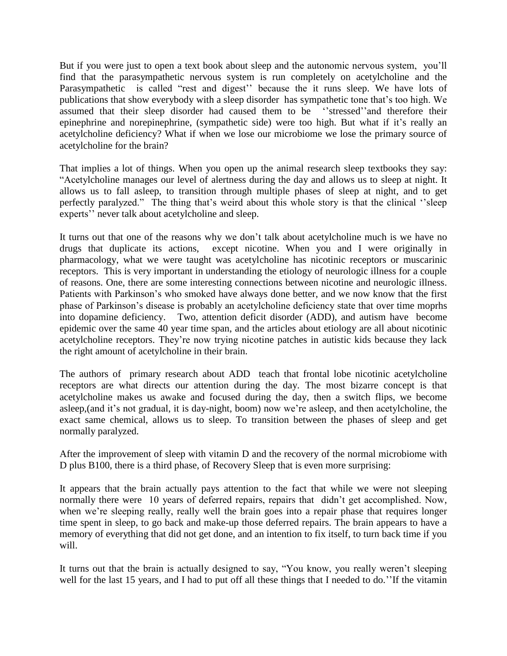But if you were just to open a text book about sleep and the autonomic nervous system, you'll find that the parasympathetic nervous system is run completely on acetylcholine and the Parasympathetic is called "rest and digest" because the it runs sleep. We have lots of publications that show everybody with a sleep disorder has sympathetic tone that's too high. We assumed that their sleep disorder had caused them to be ''stressed''and therefore their epinephrine and norepinephrine, (sympathetic side) were too high. But what if it's really an acetylcholine deficiency? What if when we lose our microbiome we lose the primary source of acetylcholine for the brain?

That implies a lot of things. When you open up the animal research sleep textbooks they say: "Acetylcholine manages our level of alertness during the day and allows us to sleep at night. It allows us to fall asleep, to transition through multiple phases of sleep at night, and to get perfectly paralyzed." The thing that's weird about this whole story is that the clinical ''sleep experts'' never talk about acetylcholine and sleep.

It turns out that one of the reasons why we don't talk about acetylcholine much is we have no drugs that duplicate its actions, except nicotine. When you and I were originally in pharmacology, what we were taught was acetylcholine has nicotinic receptors or muscarinic receptors. This is very important in understanding the etiology of neurologic illness for a couple of reasons. One, there are some interesting connections between nicotine and neurologic illness. Patients with Parkinson's who smoked have always done better, and we now know that the first phase of Parkinson's disease is probably an acetylcholine deficiency state that over time moprhs into dopamine deficiency. Two, attention deficit disorder (ADD), and autism have become epidemic over the same 40 year time span, and the articles about etiology are all about nicotinic acetylcholine receptors. They're now trying nicotine patches in autistic kids because they lack the right amount of acetylcholine in their brain.

The authors of primary research about ADD teach that frontal lobe nicotinic acetylcholine receptors are what directs our attention during the day. The most bizarre concept is that acetylcholine makes us awake and focused during the day, then a switch flips, we become asleep,(and it's not gradual, it is day-night, boom) now we're asleep, and then acetylcholine, the exact same chemical, allows us to sleep. To transition between the phases of sleep and get normally paralyzed.

After the improvement of sleep with vitamin D and the recovery of the normal microbiome with D plus B100, there is a third phase, of Recovery Sleep that is even more surprising:

It appears that the brain actually pays attention to the fact that while we were not sleeping normally there were 10 years of deferred repairs, repairs that didn't get accomplished. Now, when we're sleeping really, really well the brain goes into a repair phase that requires longer time spent in sleep, to go back and make-up those deferred repairs. The brain appears to have a memory of everything that did not get done, and an intention to fix itself, to turn back time if you will.

It turns out that the brain is actually designed to say, "You know, you really weren't sleeping well for the last 15 years, and I had to put off all these things that I needed to do.''If the vitamin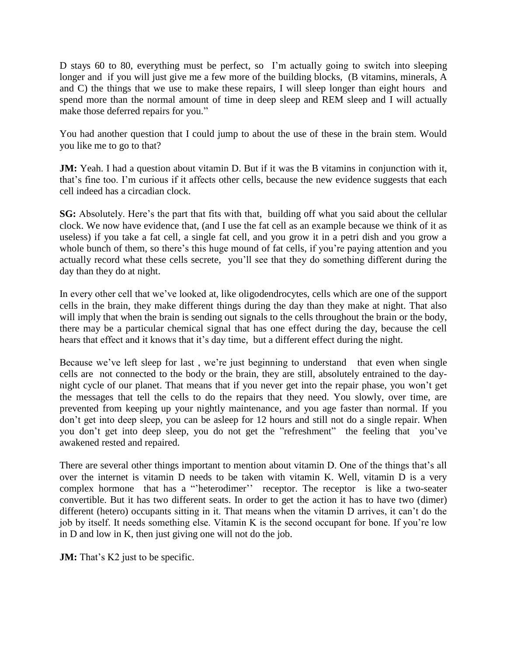D stays 60 to 80, everything must be perfect, so I'm actually going to switch into sleeping longer and if you will just give me a few more of the building blocks, (B vitamins, minerals, A and C) the things that we use to make these repairs, I will sleep longer than eight hours and spend more than the normal amount of time in deep sleep and REM sleep and I will actually make those deferred repairs for you."

You had another question that I could jump to about the use of these in the brain stem. Would you like me to go to that?

**JM:** Yeah. I had a question about vitamin D. But if it was the B vitamins in conjunction with it, that's fine too. I'm curious if it affects other cells, because the new evidence suggests that each cell indeed has a circadian clock.

**SG:** Absolutely. Here's the part that fits with that, building off what you said about the cellular clock. We now have evidence that, (and I use the fat cell as an example because we think of it as useless) if you take a fat cell, a single fat cell, and you grow it in a petri dish and you grow a whole bunch of them, so there's this huge mound of fat cells, if you're paying attention and you actually record what these cells secrete, you'll see that they do something different during the day than they do at night.

In every other cell that we've looked at, like oligodendrocytes, cells which are one of the support cells in the brain, they make different things during the day than they make at night. That also will imply that when the brain is sending out signals to the cells throughout the brain or the body, there may be a particular chemical signal that has one effect during the day, because the cell hears that effect and it knows that it's day time, but a different effect during the night.

Because we've left sleep for last, we're just beginning to understand that even when single cells are not connected to the body or the brain, they are still, absolutely entrained to the daynight cycle of our planet. That means that if you never get into the repair phase, you won't get the messages that tell the cells to do the repairs that they need. You slowly, over time, are prevented from keeping up your nightly maintenance, and you age faster than normal. If you don't get into deep sleep, you can be asleep for 12 hours and still not do a single repair. When you don't get into deep sleep, you do not get the "refreshment" the feeling that you've awakened rested and repaired.

There are several other things important to mention about vitamin D. One of the things that's all over the internet is vitamin D needs to be taken with vitamin K. Well, vitamin D is a very complex hormone that has a "'heterodimer'' receptor. The receptor is like a two-seater convertible. But it has two different seats. In order to get the action it has to have two (dimer) different (hetero) occupants sitting in it. That means when the vitamin D arrives, it can't do the job by itself. It needs something else. Vitamin K is the second occupant for bone. If you're low in D and low in K, then just giving one will not do the job.

**JM:** That's K2 just to be specific.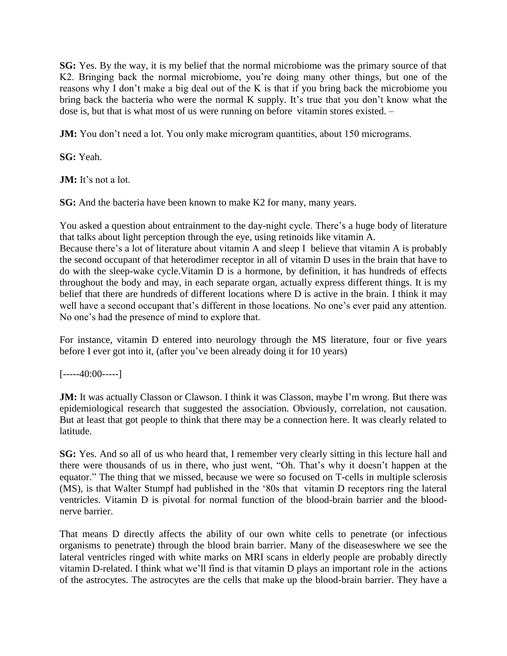**SG:** Yes. By the way, it is my belief that the normal microbiome was the primary source of that K2. Bringing back the normal microbiome, you're doing many other things, but one of the reasons why I don't make a big deal out of the K is that if you bring back the microbiome you bring back the bacteria who were the normal K supply. It's true that you don't know what the dose is, but that is what most of us were running on before vitamin stores existed. –

**JM:** You don't need a lot. You only make microgram quantities, about 150 micrograms.

**SG:** Yeah.

**JM:** It's not a lot.

**SG:** And the bacteria have been known to make K2 for many, many years.

You asked a question about entrainment to the day-night cycle. There's a huge body of literature that talks about light perception through the eye, using retinoids like vitamin A. Because there's a lot of literature about vitamin A and sleep I believe that vitamin A is probably the second occupant of that heterodimer receptor in all of vitamin D uses in the brain that have to do with the sleep-wake cycle.Vitamin D is a hormone, by definition, it has hundreds of effects throughout the body and may, in each separate organ, actually express different things. It is my belief that there are hundreds of different locations where D is active in the brain. I think it may well have a second occupant that's different in those locations. No one's ever paid any attention. No one's had the presence of mind to explore that.

For instance, vitamin D entered into neurology through the MS literature, four or five years before I ever got into it, (after you've been already doing it for 10 years)

 $[---40:00---]$ 

**JM:** It was actually Classon or Clawson. I think it was Classon, maybe I'm wrong. But there was epidemiological research that suggested the association. Obviously, correlation, not causation. But at least that got people to think that there may be a connection here. It was clearly related to latitude.

**SG:** Yes. And so all of us who heard that, I remember very clearly sitting in this lecture hall and there were thousands of us in there, who just went, "Oh. That's why it doesn't happen at the equator." The thing that we missed, because we were so focused on T-cells in multiple sclerosis (MS), is that Walter Stumpf had published in the '80s that vitamin D receptors ring the lateral ventricles. Vitamin D is pivotal for normal function of the blood-brain barrier and the bloodnerve barrier.

That means D directly affects the ability of our own white cells to penetrate (or infectious organisms to penetrate) through the blood brain barrier. Many of the diseaseswhere we see the lateral ventricles ringed with white marks on MRI scans in elderly people are probably directly vitamin D-related. I think what we'll find is that vitamin D plays an important role in the actions of the astrocytes. The astrocytes are the cells that make up the blood-brain barrier. They have a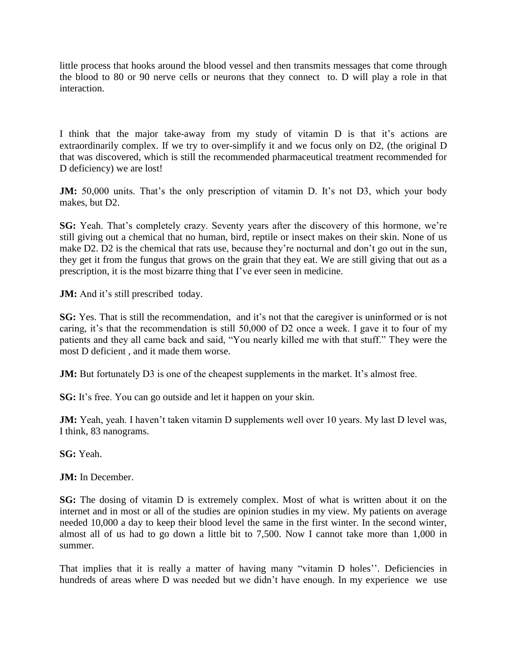little process that hooks around the blood vessel and then transmits messages that come through the blood to 80 or 90 nerve cells or neurons that they connect to. D will play a role in that interaction.

I think that the major take-away from my study of vitamin D is that it's actions are extraordinarily complex. If we try to over-simplify it and we focus only on D2, (the original D that was discovered, which is still the recommended pharmaceutical treatment recommended for D deficiency) we are lost!

**JM:** 50,000 units. That's the only prescription of vitamin D. It's not D3, which your body makes, but D2.

**SG:** Yeah. That's completely crazy. Seventy years after the discovery of this hormone, we're still giving out a chemical that no human, bird, reptile or insect makes on their skin. None of us make D2. D2 is the chemical that rats use, because they're nocturnal and don't go out in the sun, they get it from the fungus that grows on the grain that they eat. We are still giving that out as a prescription, it is the most bizarre thing that I've ever seen in medicine.

**JM:** And it's still prescribed today.

**SG:** Yes. That is still the recommendation, and it's not that the caregiver is uninformed or is not caring, it's that the recommendation is still 50,000 of D2 once a week. I gave it to four of my patients and they all came back and said, "You nearly killed me with that stuff." They were the most D deficient , and it made them worse.

**JM:** But fortunately D3 is one of the cheapest supplements in the market. It's almost free.

**SG:** It's free. You can go outside and let it happen on your skin.

**JM:** Yeah, yeah. I haven't taken vitamin D supplements well over 10 years. My last D level was, I think, 83 nanograms.

**SG:** Yeah.

**JM:** In December.

**SG:** The dosing of vitamin D is extremely complex. Most of what is written about it on the internet and in most or all of the studies are opinion studies in my view. My patients on average needed 10,000 a day to keep their blood level the same in the first winter. In the second winter, almost all of us had to go down a little bit to 7,500. Now I cannot take more than 1,000 in summer.

That implies that it is really a matter of having many "vitamin D holes". Deficiencies in hundreds of areas where D was needed but we didn't have enough. In my experience we use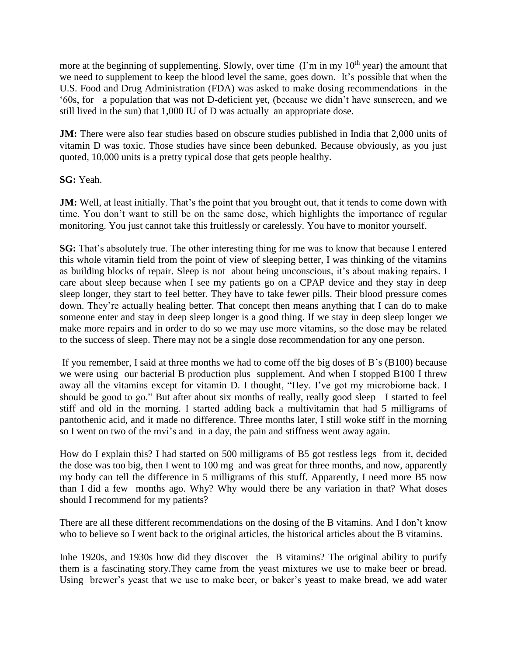more at the beginning of supplementing. Slowly, over time  $(1\text{'m in my } 10\text{th year})$  the amount that we need to supplement to keep the blood level the same, goes down. It's possible that when the U.S. Food and Drug Administration (FDA) was asked to make dosing recommendations in the '60s, for a population that was not D-deficient yet, (because we didn't have sunscreen, and we still lived in the sun) that 1,000 IU of D was actually an appropriate dose.

**JM:** There were also fear studies based on obscure studies published in India that 2,000 units of vitamin D was toxic. Those studies have since been debunked. Because obviously, as you just quoted, 10,000 units is a pretty typical dose that gets people healthy.

**SG:** Yeah.

**JM:** Well, at least initially. That's the point that you brought out, that it tends to come down with time. You don't want to still be on the same dose, which highlights the importance of regular monitoring. You just cannot take this fruitlessly or carelessly. You have to monitor yourself.

**SG:** That's absolutely true. The other interesting thing for me was to know that because I entered this whole vitamin field from the point of view of sleeping better, I was thinking of the vitamins as building blocks of repair. Sleep is not about being unconscious, it's about making repairs. I care about sleep because when I see my patients go on a CPAP device and they stay in deep sleep longer, they start to feel better. They have to take fewer pills. Their blood pressure comes down. They're actually healing better. That concept then means anything that I can do to make someone enter and stay in deep sleep longer is a good thing. If we stay in deep sleep longer we make more repairs and in order to do so we may use more vitamins, so the dose may be related to the success of sleep. There may not be a single dose recommendation for any one person.

If you remember, I said at three months we had to come off the big doses of B's (B100) because we were using our bacterial B production plus supplement. And when I stopped B100 I threw away all the vitamins except for vitamin D. I thought, "Hey. I've got my microbiome back. I should be good to go." But after about six months of really, really good sleep I started to feel stiff and old in the morning. I started adding back a multivitamin that had 5 milligrams of pantothenic acid, and it made no difference. Three months later, I still woke stiff in the morning so I went on two of the mvi's and in a day, the pain and stiffness went away again.

How do I explain this? I had started on 500 milligrams of B5 got restless legs from it, decided the dose was too big, then I went to 100 mg and was great for three months, and now, apparently my body can tell the difference in 5 milligrams of this stuff. Apparently, I need more B5 now than I did a few months ago. Why? Why would there be any variation in that? What doses should I recommend for my patients?

There are all these different recommendations on the dosing of the B vitamins. And I don't know who to believe so I went back to the original articles, the historical articles about the B vitamins.

Inhe 1920s, and 1930s how did they discover the B vitamins? The original ability to purify them is a fascinating story.They came from the yeast mixtures we use to make beer or bread. Using brewer's yeast that we use to make beer, or baker's yeast to make bread, we add water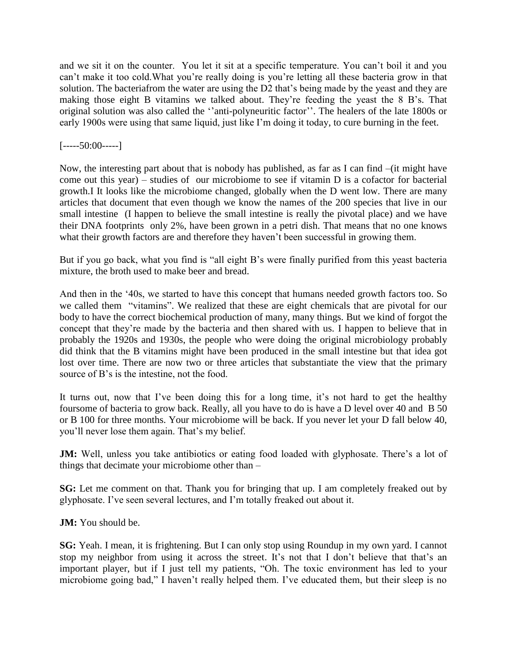and we sit it on the counter. You let it sit at a specific temperature. You can't boil it and you can't make it too cold.What you're really doing is you're letting all these bacteria grow in that solution. The bacteriafrom the water are using the D2 that's being made by the yeast and they are making those eight B vitamins we talked about. They're feeding the yeast the 8 B's. That original solution was also called the ''anti-polyneuritic factor''. The healers of the late 1800s or early 1900s were using that same liquid, just like I'm doing it today, to cure burning in the feet.

### $[---50:00---]$

Now, the interesting part about that is nobody has published, as far as I can find –(it might have come out this year) – studies of our microbiome to see if vitamin D is a cofactor for bacterial growth.I It looks like the microbiome changed, globally when the D went low. There are many articles that document that even though we know the names of the 200 species that live in our small intestine (I happen to believe the small intestine is really the pivotal place) and we have their DNA footprints only 2%, have been grown in a petri dish. That means that no one knows what their growth factors are and therefore they haven't been successful in growing them.

But if you go back, what you find is "all eight B's were finally purified from this yeast bacteria mixture, the broth used to make beer and bread.

And then in the '40s, we started to have this concept that humans needed growth factors too. So we called them "vitamins". We realized that these are eight chemicals that are pivotal for our body to have the correct biochemical production of many, many things. But we kind of forgot the concept that they're made by the bacteria and then shared with us. I happen to believe that in probably the 1920s and 1930s, the people who were doing the original microbiology probably did think that the B vitamins might have been produced in the small intestine but that idea got lost over time. There are now two or three articles that substantiate the view that the primary source of B's is the intestine, not the food.

It turns out, now that I've been doing this for a long time, it's not hard to get the healthy foursome of bacteria to grow back. Really, all you have to do is have a D level over 40 and B 50 or B 100 for three months. Your microbiome will be back. If you never let your D fall below 40, you'll never lose them again. That's my belief.

**JM:** Well, unless you take antibiotics or eating food loaded with glyphosate. There's a lot of things that decimate your microbiome other than –

**SG:** Let me comment on that. Thank you for bringing that up. I am completely freaked out by glyphosate. I've seen several lectures, and I'm totally freaked out about it.

**JM:** You should be.

**SG:** Yeah. I mean, it is frightening. But I can only stop using Roundup in my own yard. I cannot stop my neighbor from using it across the street. It's not that I don't believe that that's an important player, but if I just tell my patients, "Oh. The toxic environment has led to your microbiome going bad," I haven't really helped them. I've educated them, but their sleep is no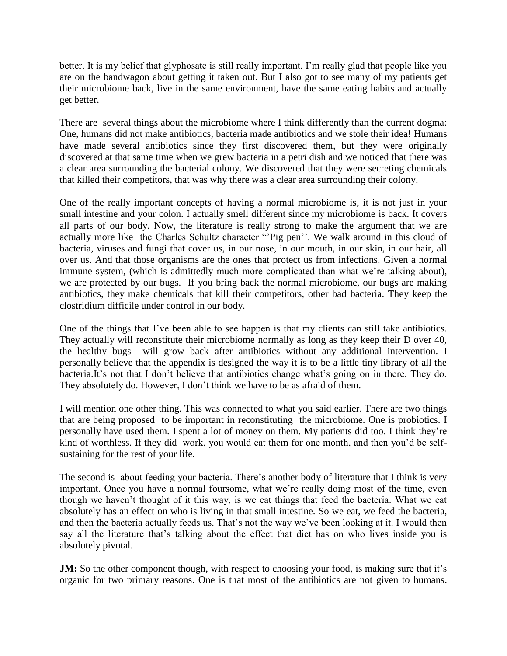better. It is my belief that glyphosate is still really important. I'm really glad that people like you are on the bandwagon about getting it taken out. But I also got to see many of my patients get their microbiome back, live in the same environment, have the same eating habits and actually get better.

There are several things about the microbiome where I think differently than the current dogma: One, humans did not make antibiotics, bacteria made antibiotics and we stole their idea! Humans have made several antibiotics since they first discovered them, but they were originally discovered at that same time when we grew bacteria in a petri dish and we noticed that there was a clear area surrounding the bacterial colony. We discovered that they were secreting chemicals that killed their competitors, that was why there was a clear area surrounding their colony.

One of the really important concepts of having a normal microbiome is, it is not just in your small intestine and your colon. I actually smell different since my microbiome is back. It covers all parts of our body. Now, the literature is really strong to make the argument that we are actually more like the Charles Schultz character "'Pig pen''. We walk around in this cloud of bacteria, viruses and fungi that cover us, in our nose, in our mouth, in our skin, in our hair, all over us. And that those organisms are the ones that protect us from infections. Given a normal immune system, (which is admittedly much more complicated than what we're talking about), we are protected by our bugs. If you bring back the normal microbiome, our bugs are making antibiotics, they make chemicals that kill their competitors, other bad bacteria. They keep the clostridium difficile under control in our body.

One of the things that I've been able to see happen is that my clients can still take antibiotics. They actually will reconstitute their microbiome normally as long as they keep their D over 40, the healthy bugs will grow back after antibiotics without any additional intervention. I personally believe that the appendix is designed the way it is to be a little tiny library of all the bacteria.It's not that I don't believe that antibiotics change what's going on in there. They do. They absolutely do. However, I don't think we have to be as afraid of them.

I will mention one other thing. This was connected to what you said earlier. There are two things that are being proposed to be important in reconstituting the microbiome. One is probiotics. I personally have used them. I spent a lot of money on them. My patients did too. I think they're kind of worthless. If they did work, you would eat them for one month, and then you'd be selfsustaining for the rest of your life.

The second is about feeding your bacteria. There's another body of literature that I think is very important. Once you have a normal foursome, what we're really doing most of the time, even though we haven't thought of it this way, is we eat things that feed the bacteria. What we eat absolutely has an effect on who is living in that small intestine. So we eat, we feed the bacteria, and then the bacteria actually feeds us. That's not the way we've been looking at it. I would then say all the literature that's talking about the effect that diet has on who lives inside you is absolutely pivotal.

**JM:** So the other component though, with respect to choosing your food, is making sure that it's organic for two primary reasons. One is that most of the antibiotics are not given to humans.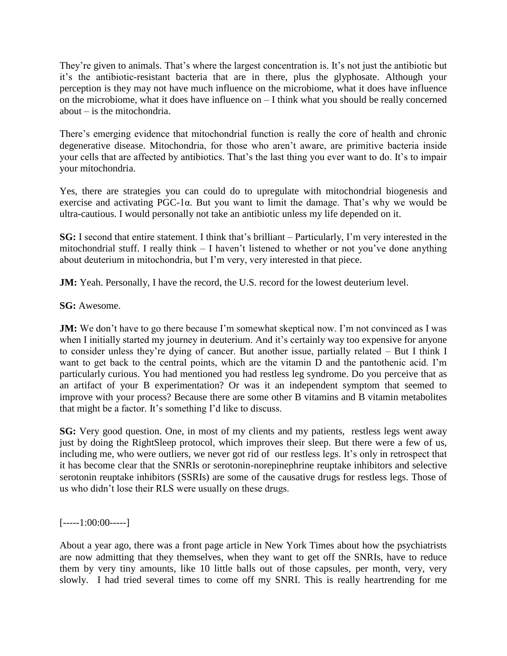They're given to animals. That's where the largest concentration is. It's not just the antibiotic but it's the antibiotic-resistant bacteria that are in there, plus the glyphosate. Although your perception is they may not have much influence on the microbiome, what it does have influence on the microbiome, what it does have influence on – I think what you should be really concerned about – is the mitochondria.

There's emerging evidence that mitochondrial function is really the core of health and chronic degenerative disease. Mitochondria, for those who aren't aware, are primitive bacteria inside your cells that are affected by antibiotics. That's the last thing you ever want to do. It's to impair your mitochondria.

Yes, there are strategies you can could do to upregulate with mitochondrial biogenesis and exercise and activating PGC-1α. But you want to limit the damage. That's why we would be ultra-cautious. I would personally not take an antibiotic unless my life depended on it.

**SG:** I second that entire statement. I think that's brilliant – Particularly, I'm very interested in the mitochondrial stuff. I really think – I haven't listened to whether or not you've done anything about deuterium in mitochondria, but I'm very, very interested in that piece.

**JM:** Yeah. Personally, I have the record, the U.S. record for the lowest deuterium level.

**SG:** Awesome.

**JM:** We don't have to go there because I'm somewhat skeptical now. I'm not convinced as I was when I initially started my journey in deuterium. And it's certainly way too expensive for anyone to consider unless they're dying of cancer. But another issue, partially related – But I think I want to get back to the central points, which are the vitamin D and the pantothenic acid. I'm particularly curious. You had mentioned you had restless leg syndrome. Do you perceive that as an artifact of your B experimentation? Or was it an independent symptom that seemed to improve with your process? Because there are some other B vitamins and B vitamin metabolites that might be a factor. It's something I'd like to discuss.

**SG:** Very good question. One, in most of my clients and my patients, restless legs went away just by doing the RightSleep protocol, which improves their sleep. But there were a few of us, including me, who were outliers, we never got rid of our restless legs. It's only in retrospect that it has become clear that the SNRIs or serotonin-norepinephrine reuptake inhibitors and selective serotonin reuptake inhibitors (SSRIs) are some of the causative drugs for restless legs. Those of us who didn't lose their RLS were usually on these drugs.

 $[----1:00:00---]$ 

About a year ago, there was a front page article in New York Times about how the psychiatrists are now admitting that they themselves, when they want to get off the SNRIs, have to reduce them by very tiny amounts, like 10 little balls out of those capsules, per month, very, very slowly. I had tried several times to come off my SNRI. This is really heartrending for me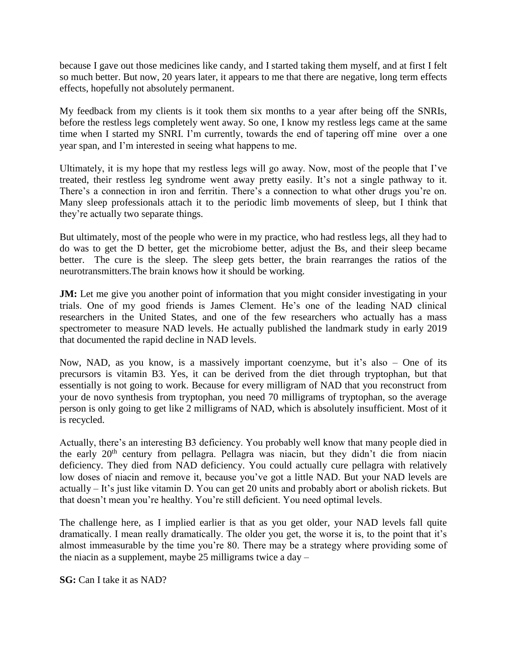because I gave out those medicines like candy, and I started taking them myself, and at first I felt so much better. But now, 20 years later, it appears to me that there are negative, long term effects effects, hopefully not absolutely permanent.

My feedback from my clients is it took them six months to a year after being off the SNRIs, before the restless legs completely went away. So one, I know my restless legs came at the same time when I started my SNRI. I'm currently, towards the end of tapering off mine over a one year span, and I'm interested in seeing what happens to me.

Ultimately, it is my hope that my restless legs will go away. Now, most of the people that I've treated, their restless leg syndrome went away pretty easily. It's not a single pathway to it. There's a connection in iron and ferritin. There's a connection to what other drugs you're on. Many sleep professionals attach it to the periodic limb movements of sleep, but I think that they're actually two separate things.

But ultimately, most of the people who were in my practice, who had restless legs, all they had to do was to get the D better, get the microbiome better, adjust the Bs, and their sleep became better. The cure is the sleep. The sleep gets better, the brain rearranges the ratios of the neurotransmitters.The brain knows how it should be working.

**JM:** Let me give you another point of information that you might consider investigating in your trials. One of my good friends is James Clement. He's one of the leading NAD clinical researchers in the United States, and one of the few researchers who actually has a mass spectrometer to measure NAD levels. He actually published the landmark study in early 2019 that documented the rapid decline in NAD levels.

Now, NAD, as you know, is a massively important coenzyme, but it's also – One of its precursors is vitamin B3. Yes, it can be derived from the diet through tryptophan, but that essentially is not going to work. Because for every milligram of NAD that you reconstruct from your de novo synthesis from tryptophan, you need 70 milligrams of tryptophan, so the average person is only going to get like 2 milligrams of NAD, which is absolutely insufficient. Most of it is recycled.

Actually, there's an interesting B3 deficiency. You probably well know that many people died in the early  $20<sup>th</sup>$  century from pellagra. Pellagra was niacin, but they didn't die from niacin deficiency. They died from NAD deficiency. You could actually cure pellagra with relatively low doses of niacin and remove it, because you've got a little NAD. But your NAD levels are actually – It's just like vitamin D. You can get 20 units and probably abort or abolish rickets. But that doesn't mean you're healthy. You're still deficient. You need optimal levels.

The challenge here, as I implied earlier is that as you get older, your NAD levels fall quite dramatically. I mean really dramatically. The older you get, the worse it is, to the point that it's almost immeasurable by the time you're 80. There may be a strategy where providing some of the niacin as a supplement, maybe 25 milligrams twice a  $day -$ 

**SG:** Can I take it as NAD?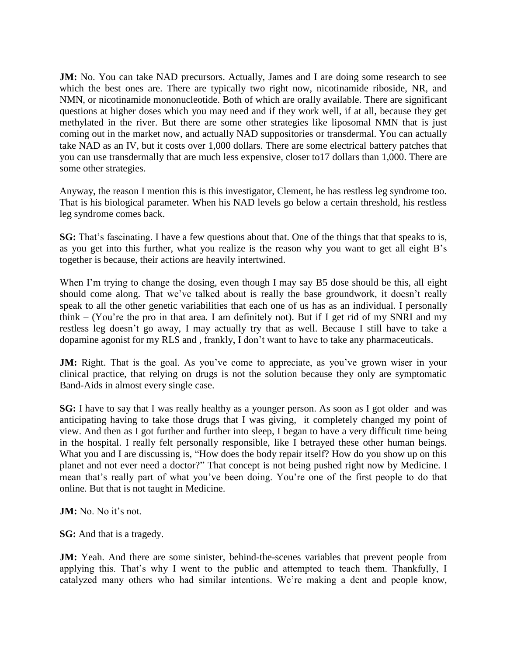**JM:** No. You can take NAD precursors. Actually, James and I are doing some research to see which the best ones are. There are typically two right now, nicotinamide riboside, NR, and NMN, or nicotinamide mononucleotide. Both of which are orally available. There are significant questions at higher doses which you may need and if they work well, if at all, because they get methylated in the river. But there are some other strategies like liposomal NMN that is just coming out in the market now, and actually NAD suppositories or transdermal. You can actually take NAD as an IV, but it costs over 1,000 dollars. There are some electrical battery patches that you can use transdermally that are much less expensive, closer to17 dollars than 1,000. There are some other strategies.

Anyway, the reason I mention this is this investigator, Clement, he has restless leg syndrome too. That is his biological parameter. When his NAD levels go below a certain threshold, his restless leg syndrome comes back.

**SG:** That's fascinating. I have a few questions about that. One of the things that that speaks to is, as you get into this further, what you realize is the reason why you want to get all eight B's together is because, their actions are heavily intertwined.

When I'm trying to change the dosing, even though I may say B5 dose should be this, all eight should come along. That we've talked about is really the base groundwork, it doesn't really speak to all the other genetic variabilities that each one of us has as an individual. I personally think – (You're the pro in that area. I am definitely not). But if I get rid of my SNRI and my restless leg doesn't go away, I may actually try that as well. Because I still have to take a dopamine agonist for my RLS and , frankly, I don't want to have to take any pharmaceuticals.

**JM:** Right. That is the goal. As you've come to appreciate, as you've grown wiser in your clinical practice, that relying on drugs is not the solution because they only are symptomatic Band-Aids in almost every single case.

**SG:** I have to say that I was really healthy as a younger person. As soon as I got older and was anticipating having to take those drugs that I was giving, it completely changed my point of view. And then as I got further and further into sleep, I began to have a very difficult time being in the hospital. I really felt personally responsible, like I betrayed these other human beings. What you and I are discussing is, "How does the body repair itself? How do you show up on this planet and not ever need a doctor?" That concept is not being pushed right now by Medicine. I mean that's really part of what you've been doing. You're one of the first people to do that online. But that is not taught in Medicine.

**JM:** No. No it's not.

**SG:** And that is a tragedy.

**JM:** Yeah. And there are some sinister, behind-the-scenes variables that prevent people from applying this. That's why I went to the public and attempted to teach them. Thankfully, I catalyzed many others who had similar intentions. We're making a dent and people know,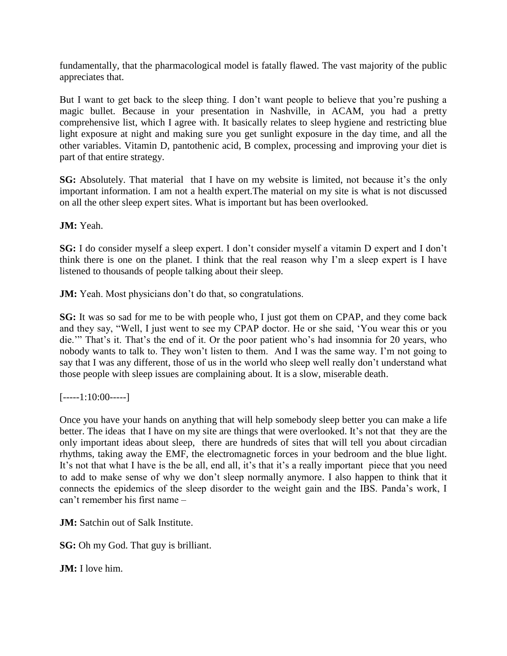fundamentally, that the pharmacological model is fatally flawed. The vast majority of the public appreciates that.

But I want to get back to the sleep thing. I don't want people to believe that you're pushing a magic bullet. Because in your presentation in Nashville, in ACAM, you had a pretty comprehensive list, which I agree with. It basically relates to sleep hygiene and restricting blue light exposure at night and making sure you get sunlight exposure in the day time, and all the other variables. Vitamin D, pantothenic acid, B complex, processing and improving your diet is part of that entire strategy.

**SG:** Absolutely. That material that I have on my website is limited, not because it's the only important information. I am not a health expert.The material on my site is what is not discussed on all the other sleep expert sites. What is important but has been overlooked.

**JM:** Yeah.

**SG:** I do consider myself a sleep expert. I don't consider myself a vitamin D expert and I don't think there is one on the planet. I think that the real reason why I'm a sleep expert is I have listened to thousands of people talking about their sleep.

**JM:** Yeah. Most physicians don't do that, so congratulations.

**SG:** It was so sad for me to be with people who, I just got them on CPAP, and they come back and they say, "Well, I just went to see my CPAP doctor. He or she said, 'You wear this or you die.'" That's it. That's the end of it. Or the poor patient who's had insomnia for 20 years, who nobody wants to talk to. They won't listen to them. And I was the same way. I'm not going to say that I was any different, those of us in the world who sleep well really don't understand what those people with sleep issues are complaining about. It is a slow, miserable death.

 $[---1:10:00---]$ 

Once you have your hands on anything that will help somebody sleep better you can make a life better. The ideas that I have on my site are things that were overlooked. It's not that they are the only important ideas about sleep, there are hundreds of sites that will tell you about circadian rhythms, taking away the EMF, the electromagnetic forces in your bedroom and the blue light. It's not that what I have is the be all, end all, it's that it's a really important piece that you need to add to make sense of why we don't sleep normally anymore. I also happen to think that it connects the epidemics of the sleep disorder to the weight gain and the IBS. Panda's work, I can't remember his first name –

**JM:** Satchin out of Salk Institute.

**SG:** Oh my God. That guy is brilliant.

**JM:** I love him.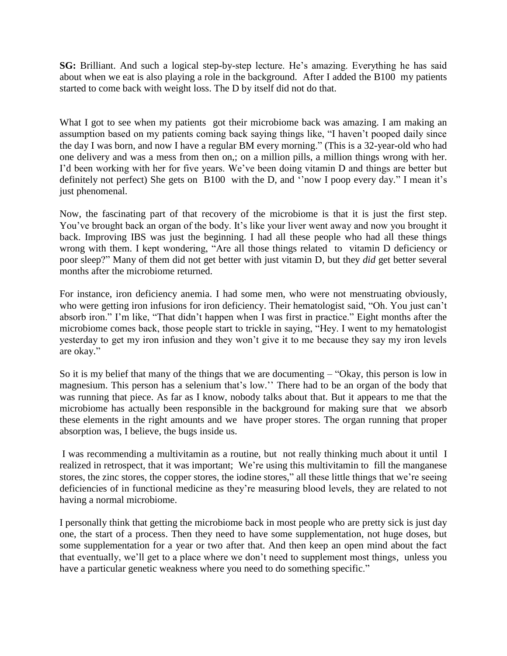**SG:** Brilliant. And such a logical step-by-step lecture. He's amazing. Everything he has said about when we eat is also playing a role in the background. After I added the B100 my patients started to come back with weight loss. The D by itself did not do that.

What I got to see when my patients got their microbiome back was amazing. I am making an assumption based on my patients coming back saying things like, "I haven't pooped daily since the day I was born, and now I have a regular BM every morning." (This is a 32-year-old who had one delivery and was a mess from then on,; on a million pills, a million things wrong with her. I'd been working with her for five years. We've been doing vitamin D and things are better but definitely not perfect) She gets on B100 with the D, and ''now I poop every day." I mean it's just phenomenal.

Now, the fascinating part of that recovery of the microbiome is that it is just the first step. You've brought back an organ of the body. It's like your liver went away and now you brought it back. Improving IBS was just the beginning. I had all these people who had all these things wrong with them. I kept wondering, "Are all those things related to vitamin D deficiency or poor sleep?" Many of them did not get better with just vitamin D, but they *did* get better several months after the microbiome returned.

For instance, iron deficiency anemia. I had some men, who were not menstruating obviously, who were getting iron infusions for iron deficiency. Their hematologist said, "Oh. You just can't absorb iron." I'm like, "That didn't happen when I was first in practice." Eight months after the microbiome comes back, those people start to trickle in saying, "Hey. I went to my hematologist yesterday to get my iron infusion and they won't give it to me because they say my iron levels are okay."

So it is my belief that many of the things that we are documenting – "Okay, this person is low in magnesium. This person has a selenium that's low.'' There had to be an organ of the body that was running that piece. As far as I know, nobody talks about that. But it appears to me that the microbiome has actually been responsible in the background for making sure that we absorb these elements in the right amounts and we have proper stores. The organ running that proper absorption was, I believe, the bugs inside us.

I was recommending a multivitamin as a routine, but not really thinking much about it until I realized in retrospect, that it was important; We're using this multivitamin to fill the manganese stores, the zinc stores, the copper stores, the iodine stores," all these little things that we're seeing deficiencies of in functional medicine as they're measuring blood levels, they are related to not having a normal microbiome.

I personally think that getting the microbiome back in most people who are pretty sick is just day one, the start of a process. Then they need to have some supplementation, not huge doses, but some supplementation for a year or two after that. And then keep an open mind about the fact that eventually, we'll get to a place where we don't need to supplement most things, unless you have a particular genetic weakness where you need to do something specific."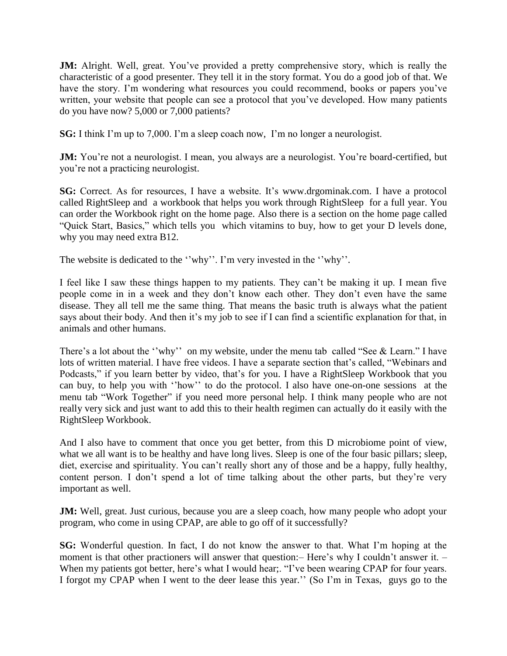**JM:** Alright. Well, great. You've provided a pretty comprehensive story, which is really the characteristic of a good presenter. They tell it in the story format. You do a good job of that. We have the story. I'm wondering what resources you could recommend, books or papers you've written, your website that people can see a protocol that you've developed. How many patients do you have now? 5,000 or 7,000 patients?

**SG:** I think I'm up to 7,000. I'm a sleep coach now, I'm no longer a neurologist.

**JM:** You're not a neurologist. I mean, you always are a neurologist. You're board-certified, but you're not a practicing neurologist.

**SG:** Correct. As for resources, I have a website. It's www.drgominak.com. I have a protocol called RightSleep and a workbook that helps you work through RightSleep for a full year. You can order the Workbook right on the home page. Also there is a section on the home page called "Quick Start, Basics," which tells you which vitamins to buy, how to get your D levels done, why you may need extra B12.

The website is dedicated to the ''why''. I'm very invested in the ''why''.

I feel like I saw these things happen to my patients. They can't be making it up. I mean five people come in in a week and they don't know each other. They don't even have the same disease. They all tell me the same thing. That means the basic truth is always what the patient says about their body. And then it's my job to see if I can find a scientific explanation for that, in animals and other humans.

There's a lot about the "why" on my website, under the menu tab called "See & Learn." I have lots of written material. I have free videos. I have a separate section that's called, "Webinars and Podcasts," if you learn better by video, that's for you. I have a RightSleep Workbook that you can buy, to help you with ''how'' to do the protocol. I also have one-on-one sessions at the menu tab "Work Together" if you need more personal help. I think many people who are not really very sick and just want to add this to their health regimen can actually do it easily with the RightSleep Workbook.

And I also have to comment that once you get better, from this D microbiome point of view, what we all want is to be healthy and have long lives. Sleep is one of the four basic pillars; sleep, diet, exercise and spirituality. You can't really short any of those and be a happy, fully healthy, content person. I don't spend a lot of time talking about the other parts, but they're very important as well.

**JM:** Well, great. Just curious, because you are a sleep coach, how many people who adopt your program, who come in using CPAP, are able to go off of it successfully?

**SG:** Wonderful question. In fact, I do not know the answer to that. What I'm hoping at the moment is that other practioners will answer that question: – Here's why I couldn't answer it. – When my patients got better, here's what I would hear;. "I've been wearing CPAP for four years. I forgot my CPAP when I went to the deer lease this year.'' (So I'm in Texas, guys go to the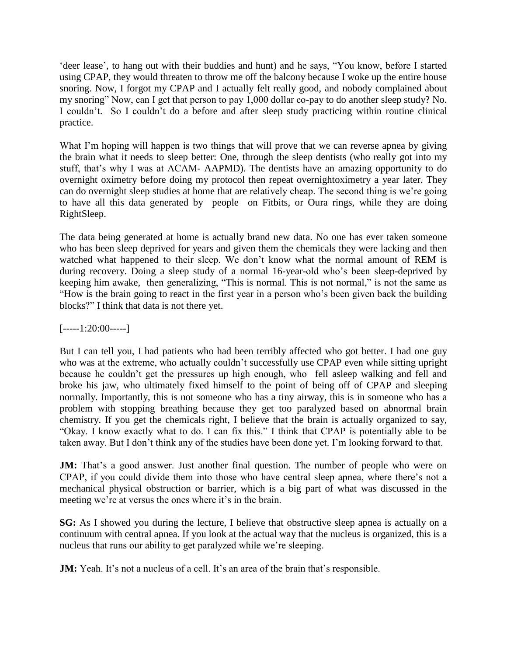'deer lease', to hang out with their buddies and hunt) and he says, "You know, before I started using CPAP, they would threaten to throw me off the balcony because I woke up the entire house snoring. Now, I forgot my CPAP and I actually felt really good, and nobody complained about my snoring" Now, can I get that person to pay 1,000 dollar co-pay to do another sleep study? No. I couldn't. So I couldn't do a before and after sleep study practicing within routine clinical practice.

What I'm hoping will happen is two things that will prove that we can reverse apnea by giving the brain what it needs to sleep better: One, through the sleep dentists (who really got into my stuff, that's why I was at ACAM- AAPMD). The dentists have an amazing opportunity to do overnight oximetry before doing my protocol then repeat overnightoximetry a year later. They can do overnight sleep studies at home that are relatively cheap. The second thing is we're going to have all this data generated by people on Fitbits, or Oura rings, while they are doing RightSleep.

The data being generated at home is actually brand new data. No one has ever taken someone who has been sleep deprived for years and given them the chemicals they were lacking and then watched what happened to their sleep. We don't know what the normal amount of REM is during recovery. Doing a sleep study of a normal 16-year-old who's been sleep-deprived by keeping him awake, then generalizing, "This is normal. This is not normal," is not the same as "How is the brain going to react in the first year in a person who's been given back the building blocks?" I think that data is not there yet.

## $[---1:20:00---]$

But I can tell you, I had patients who had been terribly affected who got better. I had one guy who was at the extreme, who actually couldn't successfully use CPAP even while sitting upright because he couldn't get the pressures up high enough, who fell asleep walking and fell and broke his jaw, who ultimately fixed himself to the point of being off of CPAP and sleeping normally. Importantly, this is not someone who has a tiny airway, this is in someone who has a problem with stopping breathing because they get too paralyzed based on abnormal brain chemistry. If you get the chemicals right, I believe that the brain is actually organized to say, "Okay. I know exactly what to do. I can fix this." I think that CPAP is potentially able to be taken away. But I don't think any of the studies have been done yet. I'm looking forward to that.

**JM:** That's a good answer. Just another final question. The number of people who were on CPAP, if you could divide them into those who have central sleep apnea, where there's not a mechanical physical obstruction or barrier, which is a big part of what was discussed in the meeting we're at versus the ones where it's in the brain.

**SG:** As I showed you during the lecture, I believe that obstructive sleep apnea is actually on a continuum with central apnea. If you look at the actual way that the nucleus is organized, this is a nucleus that runs our ability to get paralyzed while we're sleeping.

**JM:** Yeah. It's not a nucleus of a cell. It's an area of the brain that's responsible.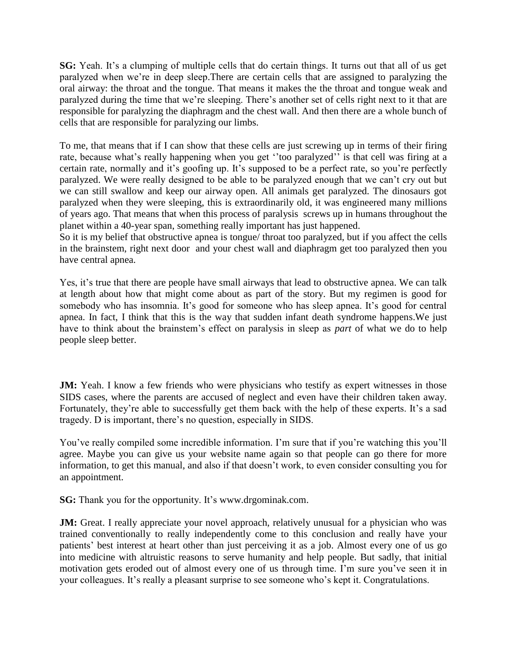**SG:** Yeah. It's a clumping of multiple cells that do certain things. It turns out that all of us get paralyzed when we're in deep sleep.There are certain cells that are assigned to paralyzing the oral airway: the throat and the tongue. That means it makes the the throat and tongue weak and paralyzed during the time that we're sleeping. There's another set of cells right next to it that are responsible for paralyzing the diaphragm and the chest wall. And then there are a whole bunch of cells that are responsible for paralyzing our limbs.

To me, that means that if I can show that these cells are just screwing up in terms of their firing rate, because what's really happening when you get ''too paralyzed'' is that cell was firing at a certain rate, normally and it's goofing up. It's supposed to be a perfect rate, so you're perfectly paralyzed. We were really designed to be able to be paralyzed enough that we can't cry out but we can still swallow and keep our airway open. All animals get paralyzed. The dinosaurs got paralyzed when they were sleeping, this is extraordinarily old, it was engineered many millions of years ago. That means that when this process of paralysis screws up in humans throughout the planet within a 40-year span, something really important has just happened.

So it is my belief that obstructive apnea is tongue/ throat too paralyzed, but if you affect the cells in the brainstem, right next door and your chest wall and diaphragm get too paralyzed then you have central apnea.

Yes, it's true that there are people have small airways that lead to obstructive apnea. We can talk at length about how that might come about as part of the story. But my regimen is good for somebody who has insomnia. It's good for someone who has sleep apnea. It's good for central apnea. In fact, I think that this is the way that sudden infant death syndrome happens.We just have to think about the brainstem's effect on paralysis in sleep as *part* of what we do to help people sleep better.

**JM:** Yeah. I know a few friends who were physicians who testify as expert witnesses in those SIDS cases, where the parents are accused of neglect and even have their children taken away. Fortunately, they're able to successfully get them back with the help of these experts. It's a sad tragedy. D is important, there's no question, especially in SIDS.

You've really compiled some incredible information. I'm sure that if you're watching this you'll agree. Maybe you can give us your website name again so that people can go there for more information, to get this manual, and also if that doesn't work, to even consider consulting you for an appointment.

**SG:** Thank you for the opportunity. It's www.drgominak.com.

**JM:** Great. I really appreciate your novel approach, relatively unusual for a physician who was trained conventionally to really independently come to this conclusion and really have your patients' best interest at heart other than just perceiving it as a job. Almost every one of us go into medicine with altruistic reasons to serve humanity and help people. But sadly, that initial motivation gets eroded out of almost every one of us through time. I'm sure you've seen it in your colleagues. It's really a pleasant surprise to see someone who's kept it. Congratulations.